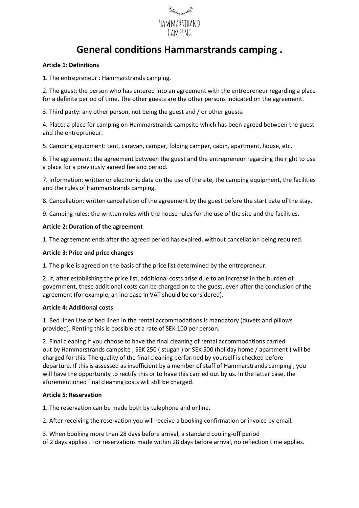

# **General conditions Hammarstrands camping .**

## **Article 1: Definitions**

1. The entrepreneur : Hammarstrands camping.

2. The guest: the person who has entered into an agreement with the entrepreneur regarding a place for a definite period of time. The other guests are the other persons indicated on the agreement.

3. Third party: any other person, not being the guest and / or other guests.

4. Place: a place for camping on Hammarstrands campsite which has been agreed between the guest and the entrepreneur.

5. Camping equipment: tent, caravan, camper, folding camper, cabin, apartment, house, etc.

6. The agreement: the agreement between the guest and the entrepreneur regarding the right to use a place for a previously agreed fee and period.

7. Information: written or electronic data on the use of the site, the camping equipment, the facilities and the rules of Hammarstrands camping.

8. Cancellation: written cancellation of the agreement by the guest before the start date of the stay.

9. Camping rules: the written rules with the house rules for the use of the site and the facilities.

# **Article 2: Duration of the agreement**

1. The agreement ends after the agreed period has expired, without cancellation being required.

## **Article 3: Price and price changes**

1. The price is agreed on the basis of the price list determined by the entrepreneur.

2. If, after establishing the price list, additional costs arise due to an increase in the burden of government, these additional costs can be charged on to the guest, even after the conclusion of the agreement (for example, an increase in VAT should be considered).

#### **Article 4: Additional costs**

1. Bed linen Use of bed linen in the rental accommodations is mandatory (duvets and pillows provided). Renting this is possible at a rate of SEK 100 per person.

2. Final cleaning If you choose to have the final cleaning of rental accommodations carried out by Hammarstrands campsite , SEK 250 ( stugan ) or SEK 500 (holiday home / apartment ) will be charged for this. The quality of the final cleaning performed by yourself is checked before departure. If this is assessed as insufficient by a member of staff of Hammarstrands camping , you will have the opportunity to rectify this or to have this carried out by us. In the latter case, the aforementioned final cleaning costs will still be charged.

#### **Article 5: Reservation**

1. The reservation can be made both by telephone and online.

2. After receiving the reservation you will receive a booking confirmation or invoice by email.

3. When booking more than 28 days before arrival, a standard cooling-off period of 2 days applies . For reservations made within 28 days before arrival, no reflection time applies.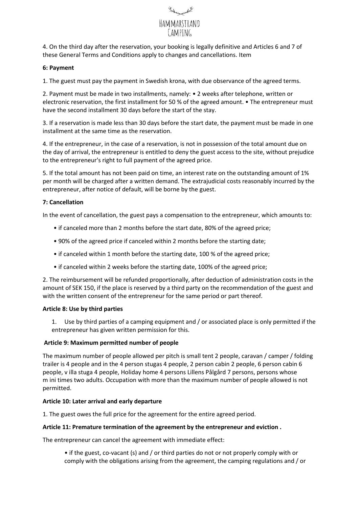

4. On the third day after the reservation, your booking is legally definitive and Articles 6 and 7 of these General Terms and Conditions apply to changes and cancellations. Item

## **6: Payment**

1. The guest must pay the payment in Swedish krona, with due observance of the agreed terms.

2. Payment must be made in two installments, namely: • 2 weeks after telephone, written or electronic reservation, the first installment for 50 % of the agreed amount. • The entrepreneur must have the second installment 30 days before the start of the stay.

3. If a reservation is made less than 30 days before the start date, the payment must be made in one installment at the same time as the reservation.

4. If the entrepreneur, in the case of a reservation, is not in possession of the total amount due on the day of arrival, the entrepreneur is entitled to deny the guest access to the site, without prejudice to the entrepreneur's right to full payment of the agreed price.

5. If the total amount has not been paid on time, an interest rate on the outstanding amount of 1% per month will be charged after a written demand. The extrajudicial costs reasonably incurred by the entrepreneur, after notice of default, will be borne by the guest.

# **7: Cancellation**

In the event of cancellation, the guest pays a compensation to the entrepreneur, which amounts to:

- if canceled more than 2 months before the start date, 80% of the agreed price;
- 90% of the agreed price if canceled within 2 months before the starting date;
- if canceled within 1 month before the starting date, 100 % of the agreed price;
- if canceled within 2 weeks before the starting date, 100% of the agreed price;

2. The reimbursement will be refunded proportionally, after deduction of administration costs in the amount of SEK 150, if the place is reserved by a third party on the recommendation of the guest and with the written consent of the entrepreneur for the same period or part thereof.

#### **Article 8: Use by third parties**

1. Use by third parties of a camping equipment and / or associated place is only permitted if the entrepreneur has given written permission for this.

#### **Article 9: Maximum permitted number of people**

The maximum number of people allowed per pitch is small tent 2 people, caravan / camper / folding trailer is 4 people and in the 4 person stugas 4 people, 2 person cabin 2 people, 6 person cabin 6 people, v illa stuga 4 people, Holiday home 4 persons Lillens Pålgård 7 persons, persons whose m ini times two adults. Occupation with more than the maximum number of people allowed is not permitted.

#### **Article 10: Later arrival and early departure**

1. The guest owes the full price for the agreement for the entire agreed period.

#### **Article 11: Premature termination of the agreement by the entrepreneur and eviction .**

The entrepreneur can cancel the agreement with immediate effect:

• if the guest, co-vacant (s) and / or third parties do not or not properly comply with or comply with the obligations arising from the agreement, the camping regulations and / or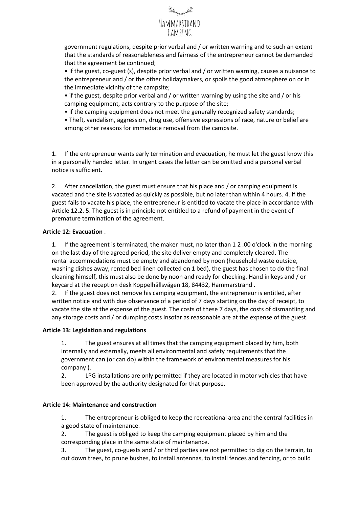

government regulations, despite prior verbal and / or written warning and to such an extent that the standards of reasonableness and fairness of the entrepreneur cannot be demanded that the agreement be continued;

• if the guest, co-guest (s), despite prior verbal and / or written warning, causes a nuisance to the entrepreneur and / or the other holidaymakers, or spoils the good atmosphere on or in the immediate vicinity of the campsite;

• if the guest, despite prior verbal and / or written warning by using the site and / or his camping equipment, acts contrary to the purpose of the site;

• if the camping equipment does not meet the generally recognized safety standards;

• Theft, vandalism, aggression, drug use, offensive expressions of race, nature or belief are among other reasons for immediate removal from the campsite.

1. If the entrepreneur wants early termination and evacuation, he must let the guest know this in a personally handed letter. In urgent cases the letter can be omitted and a personal verbal notice is sufficient.

2. After cancellation, the guest must ensure that his place and / or camping equipment is vacated and the site is vacated as quickly as possible, but no later than within 4 hours. 4. If the guest fails to vacate his place, the entrepreneur is entitled to vacate the place in accordance with Article 12.2. 5. The guest is in principle not entitled to a refund of payment in the event of premature termination of the agreement.

# **Article 12: Evacuation** .

1. If the agreement is terminated, the maker must, no later than 1 2 .00 o'clock in the morning on the last day of the agreed period, the site deliver empty and completely cleared. The rental accommodations must be empty and abandoned by noon (household waste outside, washing dishes away, rented bed linen collected on 1 bed), the guest has chosen to do the final cleaning himself, this must also be done by noon and ready for checking. Hand in keys and / or keycard at the reception desk Koppelhällsvägen 18, 84432, Hammarstrand .

2. If the guest does not remove his camping equipment, the entrepreneur is entitled, after written notice and with due observance of a period of 7 days starting on the day of receipt, to vacate the site at the expense of the guest. The costs of these 7 days, the costs of dismantling and any storage costs and / or dumping costs insofar as reasonable are at the expense of the guest.

#### **Article 13: Legislation and regulations**

1. The guest ensures at all times that the camping equipment placed by him, both internally and externally, meets all environmental and safety requirements that the government can (or can do) within the framework of environmental measures for his company ).

2. LPG installations are only permitted if they are located in motor vehicles that have been approved by the authority designated for that purpose.

#### **Article 14: Maintenance and construction**

1. The entrepreneur is obliged to keep the recreational area and the central facilities in a good state of maintenance.

2. The guest is obliged to keep the camping equipment placed by him and the corresponding place in the same state of maintenance.

3. The guest, co-guests and / or third parties are not permitted to dig on the terrain, to cut down trees, to prune bushes, to install antennas, to install fences and fencing, or to build